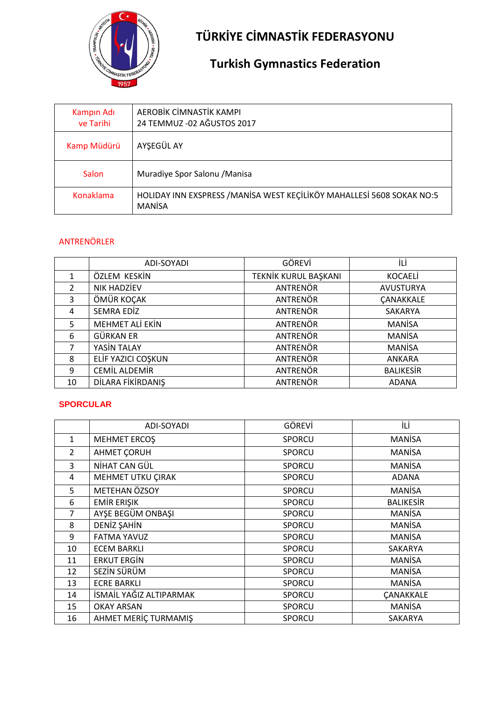

# **TÜRKİYE CİMNASTİK FEDERASYONU**

## **Turkish Gymnastics Federation**

| Kampin Adı<br>ve Tarihi | AEROBİK CİMNASTİK KAMPI<br>24 TEMMUZ - 02 AĞUSTOS 2017                                  |
|-------------------------|-----------------------------------------------------------------------------------------|
| Kamp Müdürü             | AYŞEGÜL AY                                                                              |
| <b>Salon</b>            | Muradiye Spor Salonu / Manisa                                                           |
| <b>Konaklama</b>        | HOLIDAY INN EXSPRESS / MANISA WEST KEÇİLİKÖY MAHALLESİ 5608 SOKAK NO:5<br><b>MANISA</b> |

#### ANTRENÖRLER

|               | ADI-SOYADI             | GÖREVİ               | İLİ              |
|---------------|------------------------|----------------------|------------------|
| 1             | ÖZLEM KESKİN           | TEKNİK KURUL BAŞKANI | <b>KOCAELI</b>   |
| $\mathcal{P}$ | <b>NIK HADZİEV</b>     | <b>ANTRENÖR</b>      | <b>AVUSTURYA</b> |
| 3             | ÖMÜR KOÇAK             | <b>ANTRENÖR</b>      | <b>CANAKKALE</b> |
| 4             | <b>SEMRA EDİZ</b>      | ANTRENÖR             | SAKARYA          |
| 5             | <b>MEHMET ALİ EKİN</b> | ANTRENÖR             | <b>MANISA</b>    |
| 6             | GÜRKAN ER              | <b>ANTRENÖR</b>      | <b>MANISA</b>    |
| 7             | YASİN TALAY            | ANTRENÖR             | <b>MANISA</b>    |
| 8             | ELİF YAZICI COŞKUN     | <b>ANTRENÖR</b>      | <b>ANKARA</b>    |
| 9             | <b>CEMİL ALDEMİR</b>   | ANTRENÖR             | <b>BALIKESİR</b> |
| 10            | DİLARA FİKİRDANIŞ      | <b>ANTRENÖR</b>      | <b>ADANA</b>     |

#### **SPORCULAR**

|                | ADI-SOYADI              | GÖREVİ        | İLİ              |
|----------------|-------------------------|---------------|------------------|
| $\mathbf{1}$   | <b>MEHMET ERCOS</b>     | SPORCU        | <b>MANISA</b>    |
| $\overline{2}$ | <b>AHMET CORUH</b>      | <b>SPORCU</b> | <b>MANISA</b>    |
| 3              | NİHAT CAN GÜL           | <b>SPORCU</b> | <b>MANISA</b>    |
| 4              | MEHMET UTKU ÇIRAK       | <b>SPORCU</b> | <b>ADANA</b>     |
| 5              | METEHAN ÖZSOY           | SPORCU        | <b>MANISA</b>    |
| 6              | <b>EMIR ERIŞIK</b>      | <b>SPORCU</b> | <b>BALIKESIR</b> |
| 7              | AYŞE BEGÜM ONBAŞI       | <b>SPORCU</b> | <b>MANISA</b>    |
| 8              | DENİZ ŞAHİN             | SPORCU        | <b>MANISA</b>    |
| 9              | <b>FATMA YAVUZ</b>      | <b>SPORCU</b> | <b>MANISA</b>    |
| 10             | <b>ECEM BARKLI</b>      | <b>SPORCU</b> | SAKARYA          |
| 11             | <b>ERKUT ERGIN</b>      | SPORCU        | <b>MANISA</b>    |
| 12             | SEZİN SÜRÜM             | SPORCU        | <b>MANISA</b>    |
| 13             | <b>ECRE BARKLI</b>      | SPORCU        | <b>MANISA</b>    |
| 14             | İSMAİL YAĞIZ ALTIPARMAK | <b>SPORCU</b> | <b>ÇANAKKALE</b> |
| 15             | <b>OKAY ARSAN</b>       | <b>SPORCU</b> | <b>MANISA</b>    |
| 16             | AHMET MERIC TURMAMIS    | <b>SPORCU</b> | SAKARYA          |